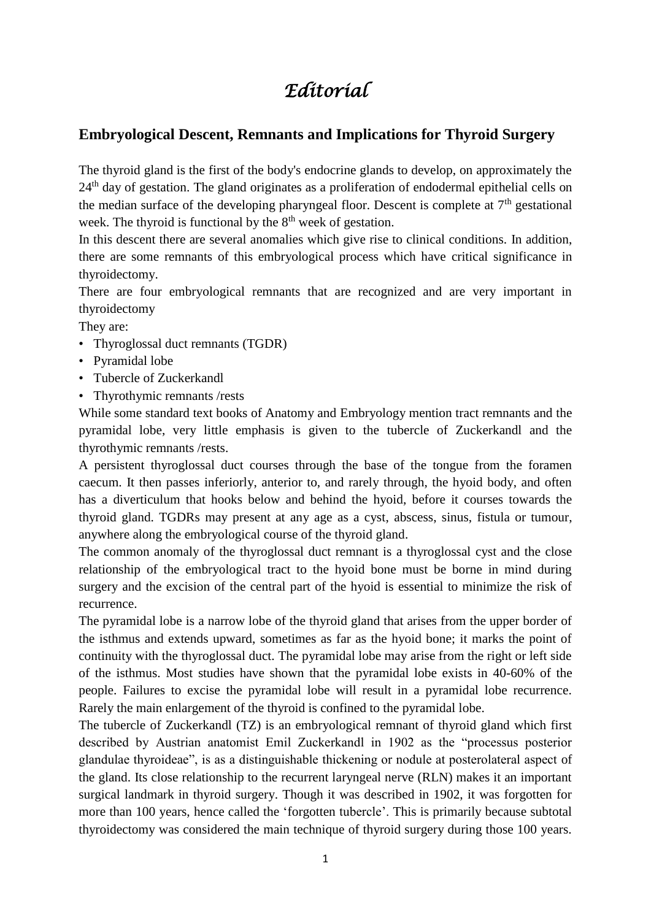## *Editorial*

## **Embryological Descent, Remnants and Implications for Thyroid Surgery**

The thyroid gland is the first of the body's endocrine glands to develop, on approximately the 24<sup>th</sup> day of gestation. The gland originates as a proliferation of endodermal epithelial cells on the median surface of the developing pharyngeal floor. Descent is complete at  $7<sup>th</sup>$  gestational week. The thyroid is functional by the  $8<sup>th</sup>$  week of gestation.

In this descent there are several anomalies which give rise to clinical conditions. In addition, there are some remnants of this embryological process which have critical significance in thyroidectomy.

There are four embryological remnants that are recognized and are very important in thyroidectomy

They are:

- Thyroglossal duct remnants (TGDR)
- Pyramidal lobe
- Tubercle of Zuckerkandl
- Thyrothymic remnants /rests

While some standard text books of Anatomy and Embryology mention tract remnants and the pyramidal lobe, very little emphasis is given to the tubercle of Zuckerkandl and the thyrothymic remnants /rests.

A persistent thyroglossal duct courses through the base of the tongue from the foramen caecum. It then passes inferiorly, anterior to, and rarely through, the hyoid body, and often has a diverticulum that hooks below and behind the hyoid, before it courses towards the thyroid gland. TGDRs may present at any age as a cyst, abscess, sinus, fistula or tumour, anywhere along the embryological course of the thyroid gland.

The common anomaly of the thyroglossal duct remnant is a thyroglossal cyst and the close relationship of the embryological tract to the hyoid bone must be borne in mind during surgery and the excision of the central part of the hyoid is essential to minimize the risk of recurrence.

The pyramidal lobe is a narrow lobe of the thyroid gland that arises from the upper border of the isthmus and extends upward, sometimes as far as the hyoid bone; it marks the point of continuity with the thyroglossal duct. The pyramidal lobe may arise from the right or left side of the isthmus. Most studies have shown that the pyramidal lobe exists in 40-60% of the people. Failures to excise the pyramidal lobe will result in a pyramidal lobe recurrence. Rarely the main enlargement of the thyroid is confined to the pyramidal lobe.

The tubercle of Zuckerkandl (TZ) is an embryological remnant of thyroid gland which first described by Austrian anatomist Emil Zuckerkandl in 1902 as the "processus posterior glandulae thyroideae", is as a distinguishable thickening or nodule at posterolateral aspect of the gland. Its close relationship to the recurrent laryngeal nerve (RLN) makes it an important surgical landmark in thyroid surgery. Though it was described in 1902, it was forgotten for more than 100 years, hence called the 'forgotten tubercle'. This is primarily because subtotal thyroidectomy was considered the main technique of thyroid surgery during those 100 years.